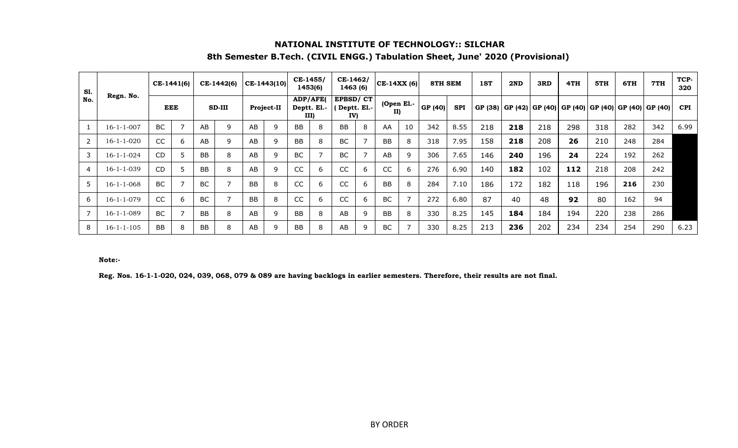# **NATIONAL INSTITUTE OF TECHNOLOGY:: SILCHAR 8th Semester B.Tech. (CIVIL ENGG.) Tabulation Sheet, June' 2020 (Provisional)**

| S1.            |                    |           | CE-1441(6) |           | CE-1442(6)     |           | CE-1443(10) | CE-1455/  | 1453(6)                         | CE-1462/<br>1463 (6) |             | $ CE-14XX(6) $    |    | 8TH SEM |            | 1ST | 2ND | 3RD | 4TH                                                                 | 5TH | 6TH | 7TH | TCP-<br>320 |
|----------------|--------------------|-----------|------------|-----------|----------------|-----------|-------------|-----------|---------------------------------|----------------------|-------------|-------------------|----|---------|------------|-----|-----|-----|---------------------------------------------------------------------|-----|-----|-----|-------------|
| No.            | Regn. No.          |           | EEE        |           | SD-III         |           | Project-II  |           | ADP/AFE(<br>Deptt. El.-<br>III) | EPBSD/CT<br>IV)      | Deptt. El.- | (Open El.-<br>II) |    | GP (40) | <b>SPI</b> |     |     |     | GP (38)   GP (42)   GP (40)   GP (40)   GP (40)   GP (40)   GP (40) |     |     |     | <b>CPI</b>  |
|                | $16 - 1 - 1 - 007$ | BC        |            | AB        | 9              | AB        | 9           | <b>BB</b> | 8                               | <b>BB</b>            | 8           | AA                | 10 | 342     | 8.55       | 218 | 218 | 218 | 298                                                                 | 318 | 282 | 342 | 6.99        |
| $\overline{2}$ | $16 - 1 - 1 - 020$ | <b>CC</b> | 6          | AB        | 9              | AB        |             | <b>BB</b> | 8                               | <b>BC</b>            |             | <b>BB</b>         | 8  | 318     | 7.95       | 158 | 218 | 208 | 26                                                                  | 210 | 248 | 284 |             |
| 3              | $16 - 1 - 1 - 024$ | <b>CD</b> |            | <b>BB</b> | 8              | AB        | q           | BC        | 7                               | <b>BC</b>            |             | AB                | 9  | 306     | 7.65       | 146 | 240 | 196 | 24                                                                  | 224 | 192 | 262 |             |
| 4              | $16 - 1 - 1 - 039$ | <b>CD</b> |            | BB        | 8              | AB        | 9           | CC        | 6                               | CC                   | 6           | CC                | b  | 276     | 6.90       | 140 | 182 | 102 | 112                                                                 | 218 | 208 | 242 |             |
| 5              | $16 - 1 - 1 - 068$ | BC        |            | <b>BC</b> | $\overline{7}$ | <b>BB</b> | 8           | <b>CC</b> | 6                               | <b>CC</b>            | 6           | <b>BB</b>         | 8  | 284     | 7.10       | 186 | 172 | 182 | 118                                                                 | 196 | 216 | 230 |             |
| 6              | $16 - 1 - 1 - 079$ | CC        | 6          | <b>BC</b> | $\overline{7}$ | BB        | 8           | CC        | 6                               | CC                   | 6           | BC                |    | 272     | 6.80       | 87  | 40  | 48  | 92                                                                  | 80  | 162 | 94  |             |
| 7              | 16-1-1-089         | BC        |            | BB        | 8              | AB        | q           | <b>BB</b> | 8                               | AB                   | q           | <b>BB</b>         | 8  | 330     | 8.25       | 145 | 184 | 184 | 194                                                                 | 220 | 238 | 286 |             |
| 8              | $16 - 1 - 1 - 105$ | <b>BB</b> | 8          | BB        | 8              | AB        | 9           | <b>BB</b> | 8                               | AB                   | q           | BC                |    | 330     | 8.25       | 213 | 236 | 202 | 234                                                                 | 234 | 254 | 290 | 6.23        |

#### **Note:-**

**Reg. Nos. 16-1-1-020, 024, 039, 068, 079 & 089 are having backlogs in earlier semesters. Therefore, their results are not final.**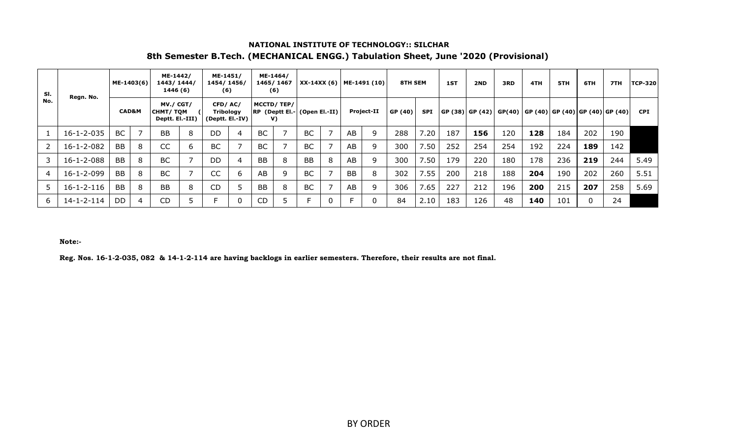# **NATIONAL INSTITUTE OF TECHNOLOGY:: SILCHAR 8th Semester B.Tech. (MECHANICAL ENGG.) Tabulation Sheet, June '2020 (Provisional)**

| SI. | Regn. No.          | ME-1403(6) |                  | ME-1442/<br>1443/1444/<br>1446 (6)              |   | ME-1451/<br>1454/1456/<br>(6) |                 |           | ME-1464/<br>1465/1467<br>(6) |                                     |   |    | XX-14XX (6)   ME-1491 (10) | <b>8TH SEM</b> |      | 1ST | 2ND                                                           | 3RD | 4TH | 5TH | 6TH | 7TH | <b>TCP-320</b> |
|-----|--------------------|------------|------------------|-------------------------------------------------|---|-------------------------------|-----------------|-----------|------------------------------|-------------------------------------|---|----|----------------------------|----------------|------|-----|---------------------------------------------------------------|-----|-----|-----|-----|-----|----------------|
| No. |                    |            | <b>CAD&amp;M</b> | MV./ CGT/<br><b>CHMT/TQM</b><br>Deptt. El.-III) |   | CFD/AC/<br>Tribology          | (Deptt. El.-IV) |           | MCCTD/TEP/<br>V)             | <b>RP</b> (Deptt El.- (Open El.-II) |   |    | Project-II                 | GP (40)        | SPI  |     | GP (38)  GP (42)  GP(40)   GP (40)  GP (40)  GP (40)  GP (40) |     |     |     |     |     | <b>CPI</b>     |
|     | $16 - 1 - 2 - 035$ | <b>BC</b>  |                  | <b>BB</b>                                       | 8 | <b>DD</b>                     | $\overline{4}$  | <b>BC</b> |                              | <b>BC</b>                           |   | AB | 9                          | 288            | 7.20 | 187 | 156                                                           | 120 | 128 | 184 | 202 | 190 |                |
|     | 16-1-2-082         | <b>BB</b>  | 8                | <b>CC</b>                                       | 6 | <b>BC</b>                     |                 | <b>BC</b> |                              | <b>BC</b>                           |   | AB | 9                          | 300            | 7.50 | 252 | 254                                                           | 254 | 192 | 224 | 189 | 142 |                |
|     | $16 - 1 - 2 - 088$ | <b>BB</b>  | 8                | <b>BC</b>                                       |   | <b>DD</b>                     | 4               | <b>BB</b> | 8                            | <b>BB</b>                           | 8 | AB | 9                          | 300            | 7.50 | 179 | 220                                                           | 180 | 178 | 236 | 219 | 244 | 5.49           |
| 4   | 16-1-2-099         | <b>BB</b>  | 8                | <b>BC</b>                                       |   | CC                            | 6               | AB        | q                            | <b>BC</b>                           |   | BB | 8                          | 302            | 7.55 | 200 | 218                                                           | 188 | 204 | 190 | 202 | 260 | 5.51           |
|     | $16 - 1 - 2 - 116$ | <b>BB</b>  | 8                | <b>BB</b>                                       | 8 | <b>CD</b>                     | 5               | <b>BB</b> | 8                            | <b>BC</b>                           |   | AB | 9                          | 306            | 7.65 | 227 | 212                                                           | 196 | 200 | 215 | 207 | 258 | 5.69           |
| 6   | $14 - 1 - 2 - 114$ | DD         | 4                | <b>CD</b>                                       |   |                               | 0               | CD        |                              |                                     | 0 |    | 0                          | 84             | 2.10 | 183 | 126                                                           | 48  | 140 | 101 | 0   | 24  |                |

**Note:-**

**Reg. Nos. 16-1-2-035, 082 & 14-1-2-114 are having backlogs in earlier semesters. Therefore, their results are not final.**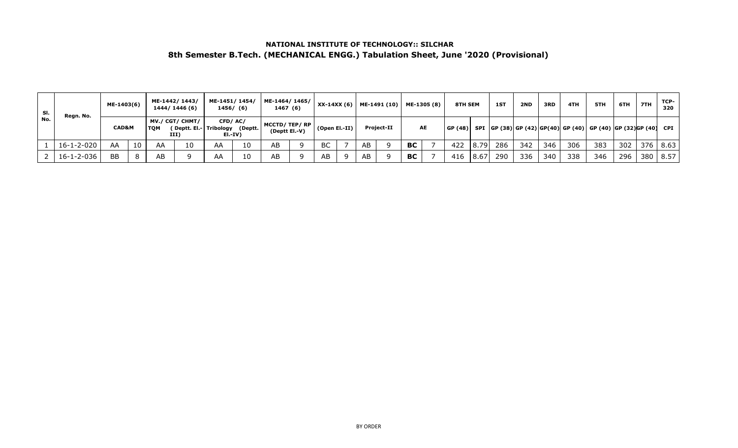## **NATIONAL INSTITUTE OF TECHNOLOGY:: SILCHAR 8th Semester B.Tech. (MECHANICAL ENGG.) Tabulation Sheet, June '2020 (Provisional)**

| SI. | Regn. No.          | ME-1403(6)       |    |     | ME-1442/1443/<br>1444/1446(6)                             | ME-1451/1454/ | 1456/ (6) | ME-1464/1465/<br>1467 (6)     |                 |    | $XX-14XX(6)$ ME-1491 (10) |           | ME-1305 (8) | 8TH SEM |      | 1ST | 2ND | 3RD | 4TH | 5TH                                                                              | 6TH | 7TH | TCP-<br>320 |
|-----|--------------------|------------------|----|-----|-----------------------------------------------------------|---------------|-----------|-------------------------------|-----------------|----|---------------------------|-----------|-------------|---------|------|-----|-----|-----|-----|----------------------------------------------------------------------------------|-----|-----|-------------|
| No. |                    | <b>CAD&amp;M</b> |    | том | MV./ CGT/ CHMT/<br>(Deptt. El.- Tribology (Deptt.<br>III) | CFD/AC/       | EI.-IV)   | MCCTD/TEP/RP<br>(Deptt El.-V) | $(Open El.-II)$ |    | <b>Project-II</b>         |           | <b>AE</b>   |         |      |     |     |     |     | GP (48)   SPI   GP (38)  GP (42) GP(40)  GP (40)  GP (40)  GP (32) GP (40)   CPI |     |     |             |
|     | $16 - 1 - 2 - 020$ | AA               | 10 | AA  | 10                                                        | AA            | 10        | AB                            | BC              | AB |                           | <b>BC</b> |             | 422     | 8.79 | 286 | 342 | 346 | 306 | 383                                                                              | 302 |     | $376$ 8.63  |
|     | $16 - 1 - 2 - 036$ | <b>BB</b>        | 8  | AB  |                                                           | AA            | 10        | AB                            | AB              | AB |                           | <b>BC</b> |             | 416     | 8.67 | 290 | 336 | 340 | 338 | 346                                                                              | 296 | 380 | 8.57        |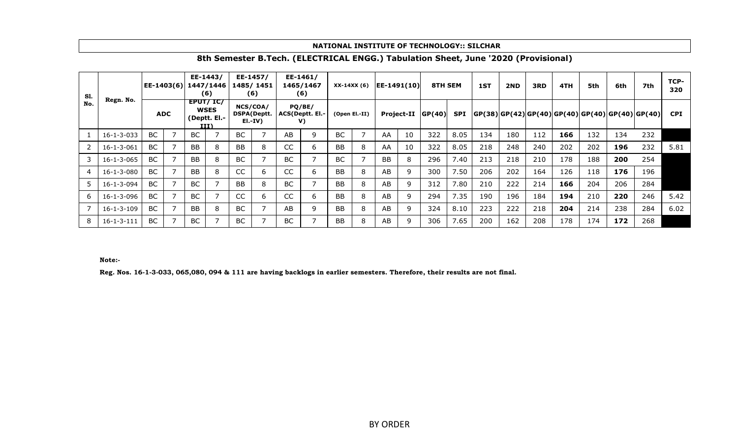#### **NATIONAL INSTITUTE OF TECHNOLOGY:: SILCHAR**

| S1. |                    | EE-1403(6) |           | EE-1443/<br>1447/1446<br>(6)                       |           | EE-1457/<br>1485/1451<br>(6)               |               | EE-1461/<br>1465/1467<br>(6)    | $XX-14XX(6)$ |               | $ EE-1491(10) $ |                   | 8TH SEM |            | 1ST | 2ND | 3RD | 4TH | 5th | 6th | 7th                                                         | TCP-<br>320 |
|-----|--------------------|------------|-----------|----------------------------------------------------|-----------|--------------------------------------------|---------------|---------------------------------|--------------|---------------|-----------------|-------------------|---------|------------|-----|-----|-----|-----|-----|-----|-------------------------------------------------------------|-------------|
| No. | Regn. No.          | <b>ADC</b> |           | EPUT/IC/<br><b>WSES</b><br>(Deptt. El.-<br>$III$ ) |           | NCS/COA/<br><b>DSPA(Deptt.</b><br>$E[-IV]$ |               | PQ/BE/<br>ACS(Deptt. El.-<br>V) |              | (Open El.-II) |                 | <b>Project-II</b> | GP(40)  | <b>SPI</b> |     |     |     |     |     |     | $ GP(38) GP(42) GP(40) GP(40) GP(40) GP(40) GP(40) GP(40) $ | <b>CPI</b>  |
| 1   | $16 - 1 - 3 - 033$ | BC         | <b>BC</b> |                                                    | BC        |                                            | AB            | 9                               | BC           |               | AA              | 10                | 322     | 8.05       | 134 | 180 | 112 | 166 | 132 | 134 | 232                                                         |             |
| 2   | $16 - 1 - 3 - 061$ | BC         | <b>BB</b> | 8                                                  | <b>BB</b> | 8                                          | <sub>CC</sub> | 6                               | <b>BB</b>    |               | AA              | 10                | 322     | 8.05       | 218 | 248 | 240 | 202 | 202 | 196 | 232                                                         | 5.81        |
| 3   | $16 - 1 - 3 - 065$ | BC         | BB        | 8                                                  | <b>BC</b> |                                            | <b>BC</b>     |                                 | BC           |               | <b>BB</b>       | 8                 | 296     | 7.40       | 213 | 218 | 210 | 178 | 188 | 200 | 254                                                         |             |
| 4   | $16 - 1 - 3 - 080$ | <b>BC</b>  | <b>BB</b> | 8                                                  | <b>CC</b> | 6                                          | <sub>CC</sub> | <sub>b</sub>                    | <b>BB</b>    |               | AB              | 9                 | 300     | 7.50       | 206 | 202 | 164 | 126 | 118 | 176 | 196                                                         |             |
| 5.  | $16 - 1 - 3 - 094$ | <b>BC</b>  | BC        |                                                    | <b>BB</b> | 8                                          | <b>BC</b>     |                                 | <b>BB</b>    |               | AB              | 9                 | 312     | 7.80       | 210 | 222 | 214 | 166 | 204 | 206 | 284                                                         |             |
| 6   | 16-1-3-096         | BC         | BC        |                                                    | CC        | 6                                          | CC            | <sub>b</sub>                    | <b>BB</b>    |               | AB              | 9                 | 294     | 7.35       | 190 | 196 | 184 | 194 | 210 | 220 | 246                                                         | 5.42        |
|     | $16 - 1 - 3 - 109$ | BC         | <b>BB</b> | 8                                                  | BC        |                                            | AB.           | 9                               | <b>BB</b>    |               | AB              | 9                 | 324     | 8.10       | 223 | 222 | 218 | 204 | 214 | 238 | 284                                                         | 6.02        |
| 8   | $16 - 1 - 3 - 111$ | BC         | BC        |                                                    | <b>BC</b> |                                            | BC            |                                 | BB           |               | AB              | 9                 | 306     | 7.65       | 200 | 162 | 208 | 178 | 174 | 172 | 268                                                         |             |

## **8th Semester B.Tech. (ELECTRICAL ENGG.) Tabulation Sheet, June '2020 (Provisional)**

#### **Note:-**

**Reg. Nos. 16-1-3-033, 065,080, 094 & 111 are having backlogs in earlier semesters. Therefore, their results are not final.**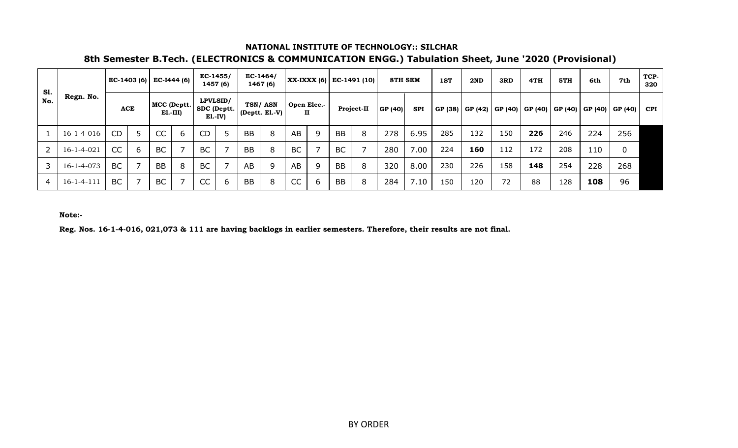## **NATIONAL INSTITUTE OF TECHNOLOGY:: SILCHAR**

# **8th Semester B.Tech. (ELECTRONICS & COMMUNICATION ENGG.) Tabulation Sheet, June '2020 (Provisional)**

| S1. |                    |            |   | EC-1403 (6) EC-I444 (6)  |   | $EC-1455/$   | 1457 (6)                |           | $EC-1464/$<br>1467 (6)        |           |                             |           | XX-IXXX (6) EC-1491 (10) | <b>8TH SEM</b> |            | 1ST | 2ND               | 3RD | 4TH | 5TH                                             | 6th | 7th | TCP-<br>320 |
|-----|--------------------|------------|---|--------------------------|---|--------------|-------------------------|-----------|-------------------------------|-----------|-----------------------------|-----------|--------------------------|----------------|------------|-----|-------------------|-----|-----|-------------------------------------------------|-----|-----|-------------|
| No. | Regn. No.          | <b>ACE</b> |   | MCC (Deptt.<br>$E1.-III$ |   | LPVLSID/     | SDC (Deptt.<br>$E1.-IV$ |           | TSN/ASN<br>$ $ (Deptt. El.-V) |           | Open Elec.-<br>$\mathbf{H}$ |           | Project-II               | GP (40)        | <b>SPI</b> |     | GP (38)   GP (42) |     |     | GP (40)   GP (40)   GP (40)   GP (40)   GP (40) |     |     | <b>CPI</b>  |
|     | $16 - 1 - 4 - 016$ | <b>CD</b>  | 5 | CC                       | 6 | CD           |                         | <b>BB</b> | 8                             | AB        | 9                           | <b>BB</b> | 8                        | 278            | 6.95       | 285 | 132               | 150 | 226 | 246                                             | 224 | 256 |             |
|     | $16 - 1 - 4 - 021$ | CC         | 6 | <b>BC</b>                |   | <b>BC</b>    |                         | <b>BB</b> | 8                             | <b>BC</b> |                             | <b>BC</b> |                          | 280            | 7.00       | 224 | 160               | 112 | 172 | 208                                             | 110 | 0   |             |
| 3   | $16 - 1 - 4 - 073$ | BC         |   | <b>BB</b>                | 8 | <b>BC</b>    |                         | AB        | 9                             | AB        | q                           | <b>BB</b> | 8                        | 320            | 8.00       | 230 | 226               | 158 | 148 | 254                                             | 228 | 268 |             |
| 4   | $16 - 1 - 4 - 111$ | BC         |   | <b>BC</b>                |   | $\sim$<br>UU | ь                       | <b>BB</b> | 8                             | CC        | h                           | <b>BB</b> | 8                        | 284            | 7.10       | 150 | 120               | 72  | 88  | 128                                             | 108 | 96  |             |

**Note:-**

**Reg. Nos. 16-1-4-016, 021,073 & 111 are having backlogs in earlier semesters. Therefore, their results are not final.**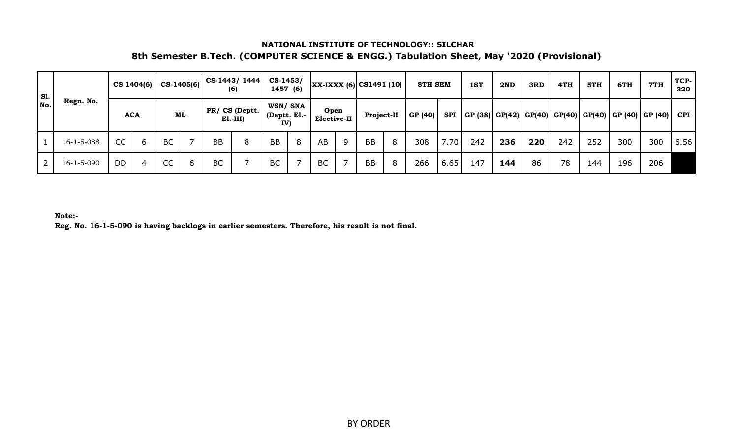## **NATIONAL INSTITUTE OF TECHNOLOGY:: SILCHAR 8th Semester B.Tech. (COMPUTER SCIENCE & ENGG.) Tabulation Sheet, May '2020 (Provisional)**

| <b>S1.</b> |                    |           | $CS$ 1404(6) | CS-1405(6) |    |           | $ CS-1443/1444 $<br>(6)     | $CS-1453/$<br>1457 (6)        |   |                     |   | $ XX-IXXX(6) $ CS1491 (10) |   | <b>8TH SEM</b> |            | 1ST | 2ND | 3RD | 4TH | 5TH | 6TH | 7TH                                                        | TCP-<br>320 |
|------------|--------------------|-----------|--------------|------------|----|-----------|-----------------------------|-------------------------------|---|---------------------|---|----------------------------|---|----------------|------------|-----|-----|-----|-----|-----|-----|------------------------------------------------------------|-------------|
| No.        | Regn. No.          |           | <b>ACA</b>   |            | ML |           | PR/CS (Deptt.<br>$E1.-III)$ | WSN/SNA<br>Deptt. El.-<br>IV) |   | Open<br>Elective-II |   | Project-II                 |   | GP (40)        | <b>SPI</b> |     |     |     |     |     |     | GP (38) GP(42) GP(40) GP(40) GP(40) GP(40) GP (40) GP (40) | <b>CPI</b>  |
|            | $16 - 1 - 5 - 088$ | <b>CC</b> | $\sigma$     | <b>BC</b>  |    | <b>BB</b> | 8                           | BB                            | 8 | AB                  | 9 | BB                         | 8 | 308            | 7.70       | 242 | 236 | 220 | 242 | 252 | 300 | 300                                                        | 6.56        |
|            | $16 - 1 - 5 - 090$ | DD        | 4            | CC         | b  | <b>BC</b> |                             | BC                            |   | <b>BC</b>           |   | <b>BB</b>                  | 8 | 266            | 6.65       | 147 | 144 | 86  | 78  | 144 | 196 | 206                                                        |             |

**Note:-**

**Reg. No. 16-1-5-090 is having backlogs in earlier semesters. Therefore, his result is not final.**